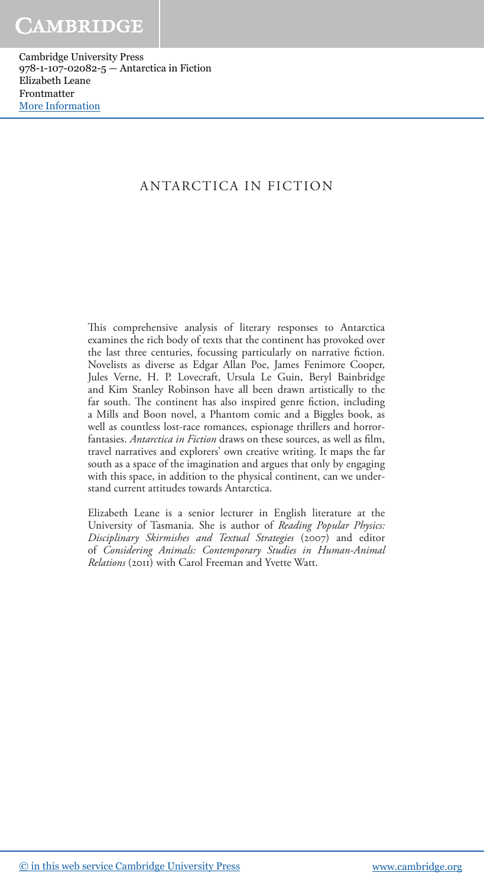#### ANTARCTICA IN FICTION

This comprehensive analysis of literary responses to Antarctica examines the rich body of texts that the continent has provoked over the last three centuries, focussing particularly on narrative fiction. Novelists as diverse as Edgar Allan Poe, James Fenimore Cooper, Jules Verne, H. P. Lovecraft, Ursula Le Guin, Beryl Bainbridge and Kim Stanley Robinson have all been drawn artistically to the far south. The continent has also inspired genre fiction, including a Mills and Boon novel, a Phantom comic and a Biggles book, as well as countless lost-race romances, espionage thrillers and horrorfantasies. *Antarctica in Fiction* draws on these sources, as well as film, travel narratives and explorers' own creative writing. It maps the far south as a space of the imagination and argues that only by engaging with this space, in addition to the physical continent, can we understand current attitudes towards Antarctica.

 Elizabeth Leane is a senior lecturer in English literature at the University of Tasmania. She is author of *Reading Popular Physics: Disciplinary Skirmishes and Textual Strategies* (2007) and editor of *Considering Animals: Contemporary Studies in Human-Animal Relations* (2011) with Carol Freeman and Yvette Watt.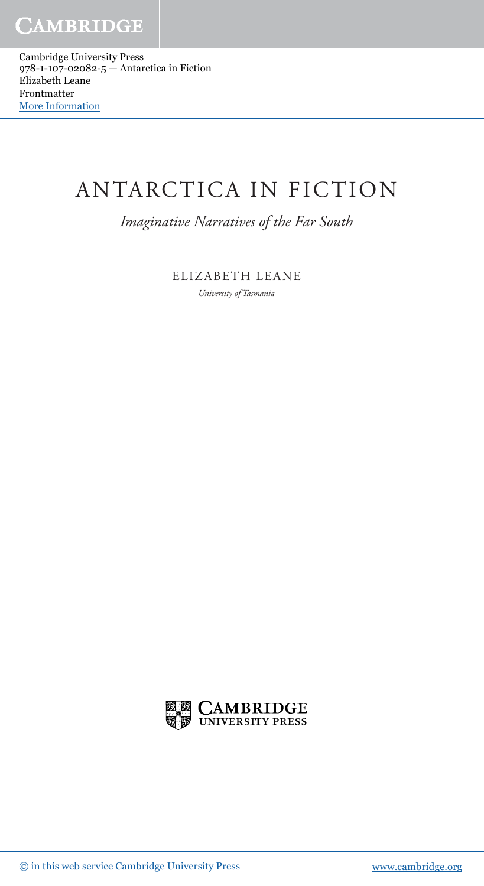# ANTARCTICA IN FICTION

 *Imaginative Narratives of the Far South* 

 ELIZABETH LEANE  *University of Tasmania* 

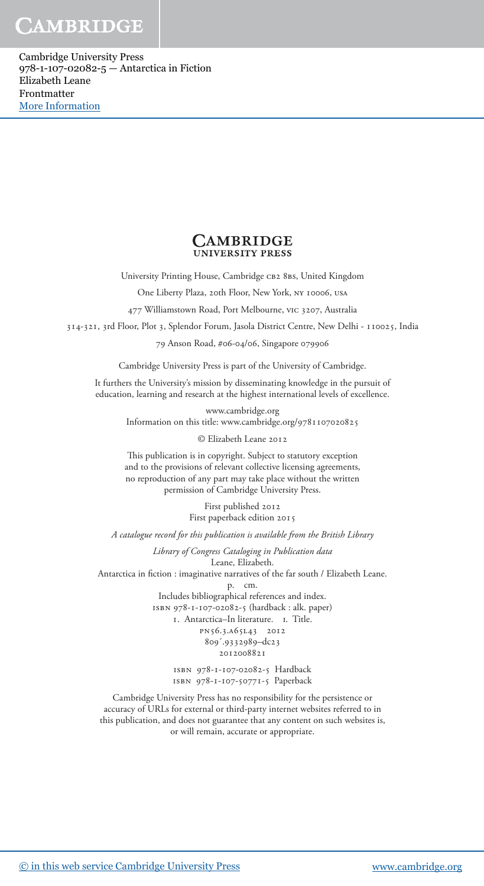#### **CAMBRIDGE UNIVERSITY PRESS**

University Printing House, Cambridge CB2 8BS, United Kingdom

One Liberty Plaza, 20th Floor, New York, ny 10006, usa

477 Williamstown Road, Port Melbourne, vic 3207, Australia

314-321, 3rd Floor, Plot 3, Splendor Forum, Jasola District Centre, New Delhi - 110025, India

79 Anson Road, #06-04/06, Singapore 079906

Cambridge University Press is part of the University of Cambridge.

It furthers the University's mission by disseminating knowledge in the pursuit of education, learning and research at the highest international levels of excellence.

> www.cambridge.org Information on this title: www.cambridge.org/9781107020825

> > © Elizabeth Leane 2012

This publication is in copyright. Subject to statutory exception and to the provisions of relevant collective licensing agreements, no reproduction of any part may take place without the written permission of Cambridge University Press.

> First published 2012 First paperback edition 2015

*A catalogue record for this publication is available from the British Library*

*Library of Congress Cataloging in Publication data* Leane, Elizabeth.

Antarctica in fiction : imaginative narratives of the far south / Elizabeth Leane.

p. cm.

Includes bibliographical references and index. isbn 978-1-107-02082-5 (hardback : alk. paper) 1. Antarctica–In literature. I. Title. pn56.3.a65l43 2012 809´.9332989–dc23 2012008821

> isbn 978-1-107-02082-5 Hardback isbn 978-1-107-50771-5 Paperback

Cambridge University Press has no responsibility for the persistence or accuracy of URLs for external or third-party internet websites referred to in this publication, and does not guarantee that any content on such websites is, or will remain, accurate or appropriate.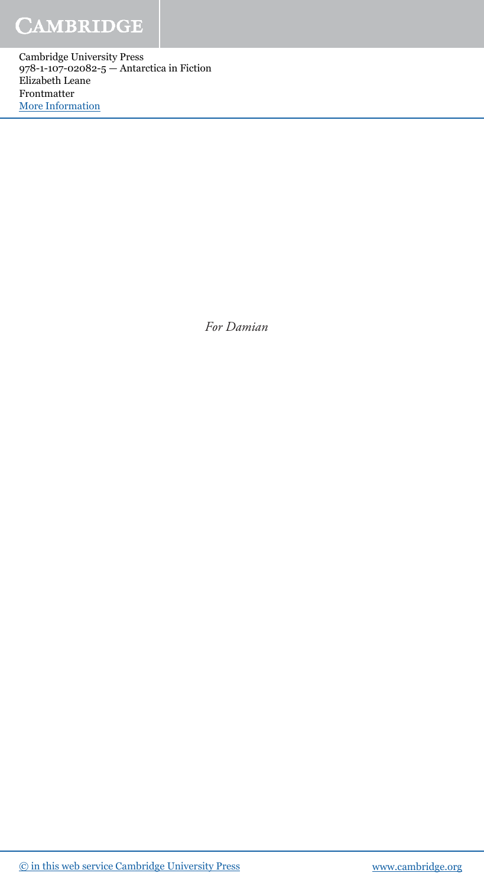Cambridge University Press 978-1-107-02082-5 — Antarctica in Fiction Elizabeth Leane Frontmatter [More Information](www.cambridge.org/9781107020825)

 *For Damian*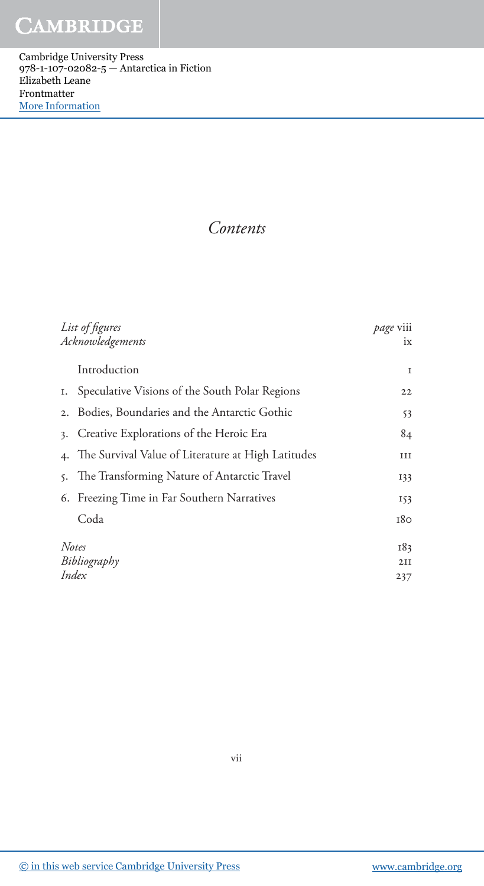Cambridge University Press 978-1-107-02082-5 — Antarctica in Fiction Elizabeth Leane Frontmatter [More Information](www.cambridge.org/9781107020825)

 *Contents* 

| List of figures<br>Acknowledgements   |                                                    | page viii<br>ix   |
|---------------------------------------|----------------------------------------------------|-------------------|
|                                       | Introduction                                       | <b>I</b>          |
| Ι.                                    | Speculative Visions of the South Polar Regions     | 22                |
| 2.                                    | Bodies, Boundaries and the Antarctic Gothic        | 53                |
| 3.                                    | Creative Explorations of the Heroic Era            | 84                |
| 4.                                    | The Survival Value of Literature at High Latitudes | ш                 |
| 5.                                    | The Transforming Nature of Antarctic Travel        | 133               |
|                                       | 6. Freezing Time in Far Southern Narratives        | 153               |
|                                       | Coda                                               | 180               |
| <b>Notes</b><br>Bibliography<br>Index |                                                    | 183<br>2II<br>237 |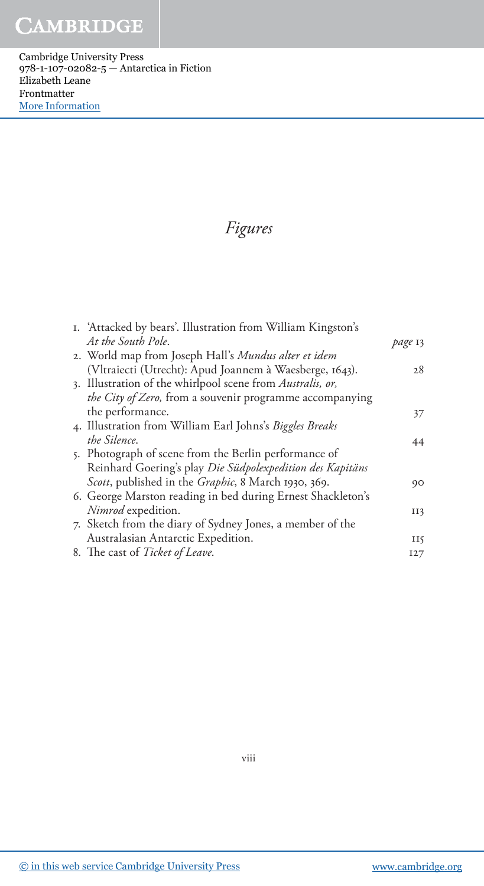Cambridge University Press 978-1-107-02082-5 — Antarctica in Fiction Elizabeth Leane Frontmatter [More Information](www.cambridge.org/9781107020825)

### *Figures*

| I. 'Attacked by bears'. Illustration from William Kingston's |         |
|--------------------------------------------------------------|---------|
| At the South Pole.                                           | page 13 |
| 2. World map from Joseph Hall's Mundus alter et idem         |         |
| (Vltraiecti (Utrecht): Apud Joannem à Waesberge, 1643).      | 28      |
| 3. Illustration of the whirlpool scene from Australis, or,   |         |
| the City of Zero, from a souvenir programme accompanying     |         |
| the performance.                                             | 37      |
| 4. Illustration from William Earl Johns's Biggles Breaks     |         |
| the Silence.                                                 | 44      |
| 5. Photograph of scene from the Berlin performance of        |         |
| Reinhard Goering's play Die Südpolexpedition des Kapitäns    |         |
| Scott, published in the Graphic, 8 March 1930, 369.          | 90      |
| 6. George Marston reading in bed during Ernest Shackleton's  |         |
| Nimrod expedition.                                           | II3     |
| 7. Sketch from the diary of Sydney Jones, a member of the    |         |
| Australasian Antarctic Expedition.                           | II5     |
| 8. The cast of Ticket of Leave.                              | 127     |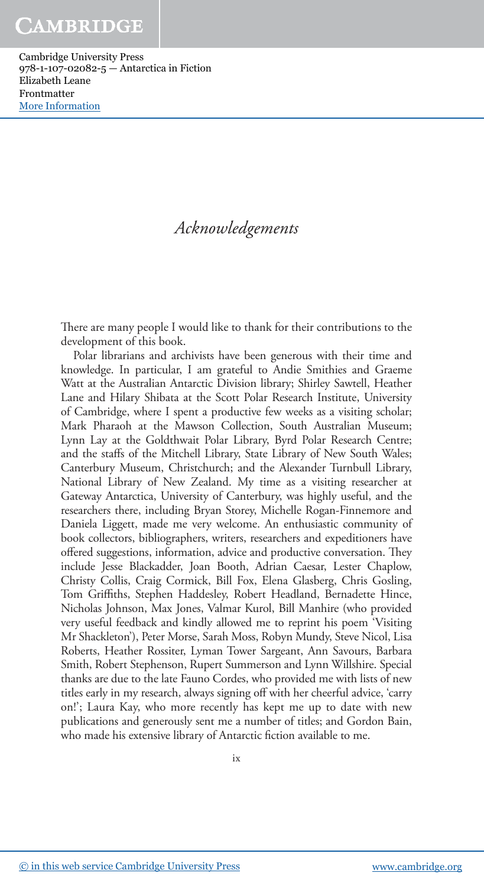### *Acknowledgements*

There are many people I would like to thank for their contributions to the development of this book.

 Polar librarians and archivists have been generous with their time and knowledge. In particular, I am grateful to Andie Smithies and Graeme Watt at the Australian Antarctic Division library; Shirley Sawtell, Heather Lane and Hilary Shibata at the Scott Polar Research Institute, University of Cambridge, where I spent a productive few weeks as a visiting scholar; Mark Pharaoh at the Mawson Collection, South Australian Museum; Lynn Lay at the Goldthwait Polar Library, Byrd Polar Research Centre; and the staffs of the Mitchell Library, State Library of New South Wales; Canterbury Museum, Christchurch; and the Alexander Turnbull Library, National Library of New Zealand. My time as a visiting researcher at Gateway Antarctica, University of Canterbury, was highly useful, and the researchers there, including Bryan Storey, Michelle Rogan-Finnemore and Daniela Liggett, made me very welcome. An enthusiastic community of book collectors, bibliographers, writers, researchers and expeditioners have offered suggestions, information, advice and productive conversation. They include Jesse Blackadder, Joan Booth, Adrian Caesar, Lester Chaplow, Christy Collis, Craig Cormick, Bill Fox, Elena Glasberg, Chris Gosling, Tom Griffiths, Stephen Haddesley, Robert Headland, Bernadette Hince, Nicholas Johnson, Max Jones, Valmar Kurol, Bill Manhire (who provided very useful feedback and kindly allowed me to reprint his poem 'Visiting Mr Shackleton'), Peter Morse, Sarah Moss, Robyn Mundy, Steve Nicol, Lisa Roberts, Heather Rossiter, Lyman Tower Sargeant, Ann Savours, Barbara Smith, Robert Stephenson, Rupert Summerson and Lynn Willshire. Special thanks are due to the late Fauno Cordes, who provided me with lists of new titles early in my research, always signing off with her cheerful advice, 'carry on!'; Laura Kay, who more recently has kept me up to date with new publications and generously sent me a number of titles; and Gordon Bain, who made his extensive library of Antarctic fiction available to me.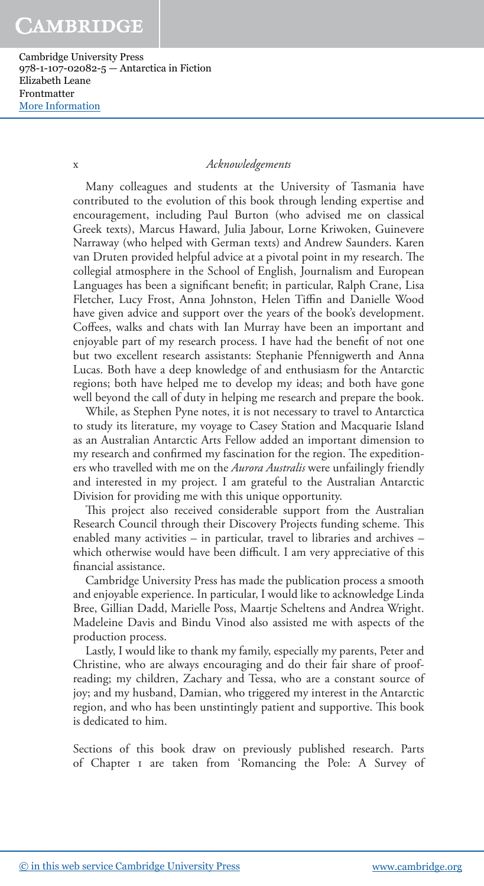Cambridge University Press 978-1-107-02082-5 — Antarctica in Fiction Elizabeth Leane Frontmatter [More Information](www.cambridge.org/9781107020825)

#### x *Acknowledgements*

 Many colleagues and students at the University of Tasmania have contributed to the evolution of this book through lending expertise and encouragement, including Paul Burton (who advised me on classical Greek texts), Marcus Haward, Julia Jabour, Lorne Kriwoken, Guinevere Narraway (who helped with German texts) and Andrew Saunders. Karen van Druten provided helpful advice at a pivotal point in my research. The collegial atmosphere in the School of English, Journalism and European Languages has been a significant benefit; in particular, Ralph Crane, Lisa Fletcher, Lucy Frost, Anna Johnston, Helen Tiffin and Danielle Wood have given advice and support over the years of the book's development. Coffees, walks and chats with Ian Murray have been an important and enjoyable part of my research process. I have had the benefit of not one but two excellent research assistants: Stephanie Pfennigwerth and Anna Lucas. Both have a deep knowledge of and enthusiasm for the Antarctic regions; both have helped me to develop my ideas; and both have gone well beyond the call of duty in helping me research and prepare the book.

 While, as Stephen Pyne notes, it is not necessary to travel to Antarctica to study its literature, my voyage to Casey Station and Macquarie Island as an Australian Antarctic Arts Fellow added an important dimension to my research and confirmed my fascination for the region. The expeditioners who travelled with me on the *Aurora Australis* were unfailingly friendly and interested in my project. I am grateful to the Australian Antarctic Division for providing me with this unique opportunity.

This project also received considerable support from the Australian Research Council through their Discovery Projects funding scheme. This enabled many activities – in particular, travel to libraries and archives – which otherwise would have been difficult. I am very appreciative of this financial assistance.

 Cambridge University Press has made the publication process a smooth and enjoyable experience. In particular, I would like to acknowledge Linda Bree, Gillian Dadd, Marielle Poss, Maartje Scheltens and Andrea Wright. Madeleine Davis and Bindu Vinod also assisted me with aspects of the production process.

 Lastly, I would like to thank my family, especially my parents, Peter and Christine, who are always encouraging and do their fair share of proofreading; my children, Zachary and Tessa, who are a constant source of joy; and my husband, Damian, who triggered my interest in the Antarctic region, and who has been unstintingly patient and supportive. This book is dedicated to him.

 Sections of this book draw on previously published research. Parts of Chapter 1 are taken from 'Romancing the Pole: A Survey of